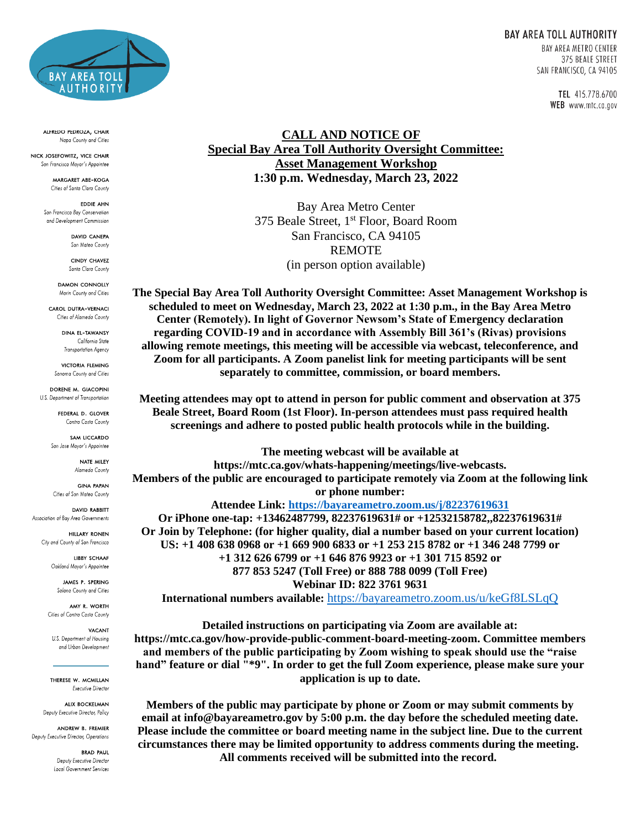

ALFREDO PEDROZA, CHAIR Napa County and Cities

NICK JOSEFOWITZ, VICE CHAIR San Francisco Mayor's Appointee

> MARGARET ABE-KOGA Cities of Santa Clara County

EDDIE AHN San Francisco Bay Conservation and Development Commission

> **DAVID CANEPA** San Mateo County

**CINDY CHAVEZ** Santa Clara County

**DAMON CONNOLLY** Marin County and Cities

CAROL DUTRA-VERNACI Cities of Alameda County

**DINA EL TAWANSY** California State

Transportation Agency VICTORIA FLEMING Sonoma County and Cities

DORENE M. GIACOPINI U.S. Department of Transportation

> FEDERAL D. GLOVER Contra Costa County

SAM LICCARDO San Jose Mayor's Appointee

> NATE MILEY Alameda County

**GINA PAPAN** Cities of San Mateo County

**DAVID RABBITT** Association of Bay Area Governments

> **HILLARY RONEN** City and County of San Francisco

> > **LIBBY SCHAAF** Oakland Mayor's Appointee

**JAMES P. SPERING** Solano County and Cities

AMY R. WORTH Cities of Contra Costa County

**VACANT** U.S. Department of Housing and Urban Development

THERESE W. MCMILLAN Executive Director

**ALIX BOCKELMAN** Deputy Executive Director, Policy

ANDREW B. FREMIER Deputy Executive Director, Operations

> **BRAD PAUL** Deputy Executive Director Local Government Services

TEL 415.778.6700 WEB www.mtc.ca.gov

## **CALL AND NOTICE OF Special Bay Area Toll Authority Oversight Committee: Asset Management Workshop 1:30 p.m. Wednesday, March 23, 2022**

Bay Area Metro Center 375 Beale Street, 1<sup>st</sup> Floor, Board Room San Francisco, CA 94105 REMOTE (in person option available)

**The Special Bay Area Toll Authority Oversight Committee: Asset Management Workshop is scheduled to meet on Wednesday, March 23, 2022 at 1:30 p.m., in the Bay Area Metro Center (Remotely). In light of Governor Newsom's State of Emergency declaration regarding COVID-19 and in accordance with Assembly Bill 361's (Rivas) provisions allowing remote meetings, this meeting will be accessible via webcast, teleconference, and Zoom for all participants. A Zoom panelist link for meeting participants will be sent separately to committee, commission, or board members.**

**Meeting attendees may opt to attend in person for public comment and observation at 375 Beale Street, Board Room (1st Floor). In-person attendees must pass required health screenings and adhere to posted public health protocols while in the building.**

**The meeting webcast will be available at https://mtc.ca.gov/whats-happening/meetings/live-webcasts. Members of the public are encouraged to participate remotely via Zoom at the following link or phone number:**

**Attendee Link:<https://bayareametro.zoom.us/j/82237619631> Or iPhone one-tap: +13462487799, 82237619631# or +12532158782,,82237619631# Or Join by Telephone: (for higher quality, dial a number based on your current location) US: +1 408 638 0968 or +1 669 900 6833 or +1 253 215 8782 or +1 346 248 7799 or +1 312 626 6799 or +1 646 876 9923 or +1 301 715 8592 or 877 853 5247 (Toll Free) or 888 788 0099 (Toll Free) Webinar ID: 822 3761 9631 International numbers available:** <https://bayareametro.zoom.us/u/keGf8LSLqQ>

**Detailed instructions on participating via Zoom are available at: https://mtc.ca.gov/how-provide-public-comment-board-meeting-zoom. Committee members and members of the public participating by Zoom wishing to speak should use the "raise hand" feature or dial "\*9". In order to get the full Zoom experience, please make sure your application is up to date.**

**Members of the public may participate by phone or Zoom or may submit comments by email at info@bayareametro.gov by 5:00 p.m. the day before the scheduled meeting date. Please include the committee or board meeting name in the subject line. Due to the current circumstances there may be limited opportunity to address comments during the meeting. All comments received will be submitted into the record.**

## **BAY AREA TOLL AUTHORITY BAY AREA METRO CENTER** 375 BEALE STREET SAN FRANCISCO, CA 94105